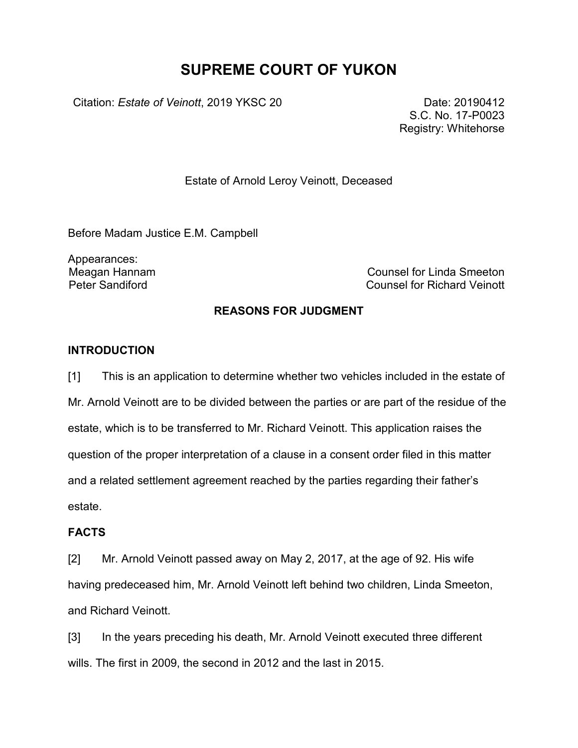# **SUPREME COURT OF YUKON**

Citation: *Estate of Veinott*, 2019 YKSC 20 Date: 20190412

S.C. No. 17-P0023 Registry: Whitehorse

Estate of Arnold Leroy Veinott, Deceased

Before Madam Justice E.M. Campbell

Appearances:

Meagan Hannam Counsel for Linda Smeeton Counsel for Richard Veinott

### **REASONS FOR JUDGMENT**

### **INTRODUCTION**

[1] This is an application to determine whether two vehicles included in the estate of Mr. Arnold Veinott are to be divided between the parties or are part of the residue of the estate, which is to be transferred to Mr. Richard Veinott. This application raises the question of the proper interpretation of a clause in a consent order filed in this matter and a related settlement agreement reached by the parties regarding their father's estate.

### **FACTS**

[2] Mr. Arnold Veinott passed away on May 2, 2017, at the age of 92. His wife having predeceased him, Mr. Arnold Veinott left behind two children, Linda Smeeton, and Richard Veinott.

[3] In the years preceding his death, Mr. Arnold Veinott executed three different wills. The first in 2009, the second in 2012 and the last in 2015.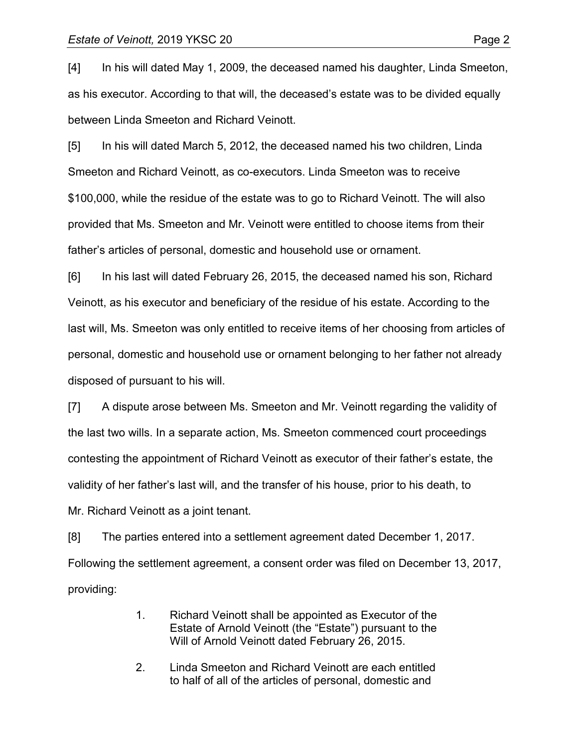[4] In his will dated May 1, 2009, the deceased named his daughter, Linda Smeeton, as his executor. According to that will, the deceased's estate was to be divided equally between Linda Smeeton and Richard Veinott.

[5] In his will dated March 5, 2012, the deceased named his two children, Linda Smeeton and Richard Veinott, as co-executors. Linda Smeeton was to receive \$100,000, while the residue of the estate was to go to Richard Veinott. The will also provided that Ms. Smeeton and Mr. Veinott were entitled to choose items from their father's articles of personal, domestic and household use or ornament.

[6] In his last will dated February 26, 2015, the deceased named his son, Richard Veinott, as his executor and beneficiary of the residue of his estate. According to the last will, Ms. Smeeton was only entitled to receive items of her choosing from articles of personal, domestic and household use or ornament belonging to her father not already disposed of pursuant to his will.

[7] A dispute arose between Ms. Smeeton and Mr. Veinott regarding the validity of the last two wills. In a separate action, Ms. Smeeton commenced court proceedings contesting the appointment of Richard Veinott as executor of their father's estate, the validity of her father's last will, and the transfer of his house, prior to his death, to Mr. Richard Veinott as a joint tenant.

[8] The parties entered into a settlement agreement dated December 1, 2017. Following the settlement agreement, a consent order was filed on December 13, 2017, providing:

- 1. Richard Veinott shall be appointed as Executor of the Estate of Arnold Veinott (the "Estate") pursuant to the Will of Arnold Veinott dated February 26, 2015.
- 2. Linda Smeeton and Richard Veinott are each entitled to half of all of the articles of personal, domestic and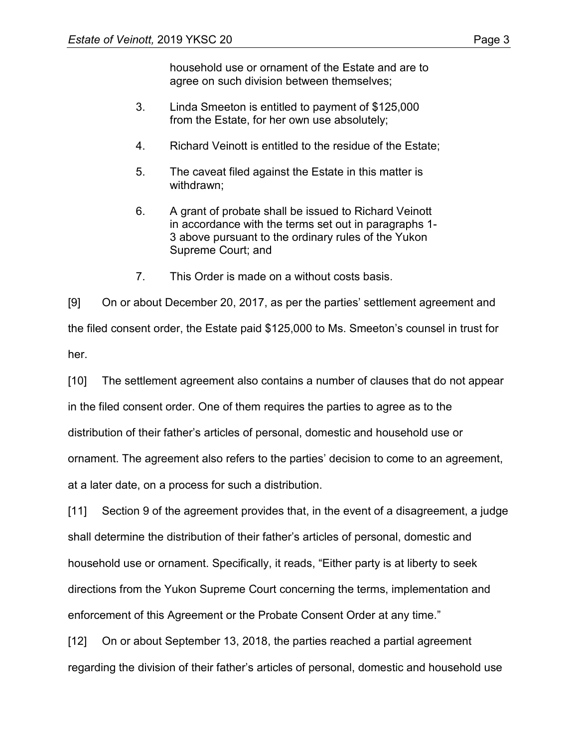household use or ornament of the Estate and are to agree on such division between themselves;

- 3. Linda Smeeton is entitled to payment of \$125,000 from the Estate, for her own use absolutely;
- 4. Richard Veinott is entitled to the residue of the Estate;
- 5. The caveat filed against the Estate in this matter is withdrawn;
- 6. A grant of probate shall be issued to Richard Veinott in accordance with the terms set out in paragraphs 1- 3 above pursuant to the ordinary rules of the Yukon Supreme Court; and
- 7. This Order is made on a without costs basis.

[9] On or about December 20, 2017, as per the parties' settlement agreement and the filed consent order, the Estate paid \$125,000 to Ms. Smeeton's counsel in trust for her.

[10] The settlement agreement also contains a number of clauses that do not appear in the filed consent order. One of them requires the parties to agree as to the distribution of their father's articles of personal, domestic and household use or ornament. The agreement also refers to the parties' decision to come to an agreement, at a later date, on a process for such a distribution.

[11] Section 9 of the agreement provides that, in the event of a disagreement, a judge shall determine the distribution of their father's articles of personal, domestic and household use or ornament. Specifically, it reads, "Either party is at liberty to seek directions from the Yukon Supreme Court concerning the terms, implementation and enforcement of this Agreement or the Probate Consent Order at any time."

[12] On or about September 13, 2018, the parties reached a partial agreement regarding the division of their father's articles of personal, domestic and household use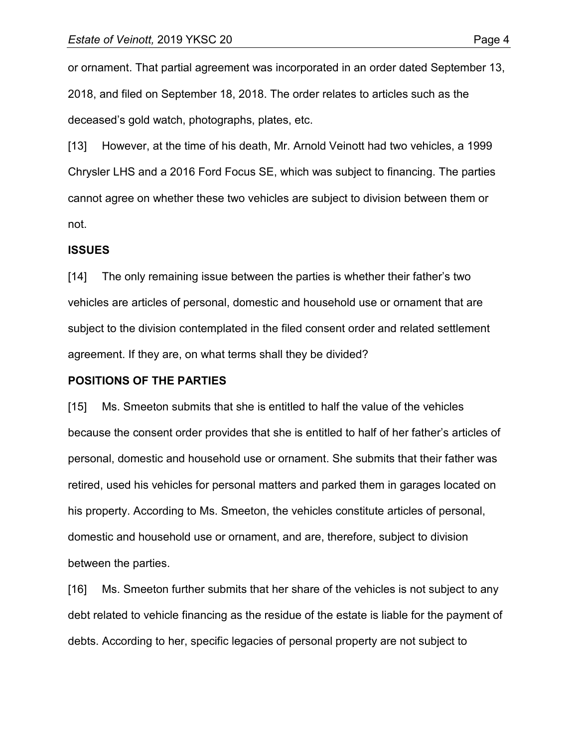or ornament. That partial agreement was incorporated in an order dated September 13, 2018, and filed on September 18, 2018. The order relates to articles such as the deceased's gold watch, photographs, plates, etc.

[13] However, at the time of his death, Mr. Arnold Veinott had two vehicles, a 1999 Chrysler LHS and a 2016 Ford Focus SE, which was subject to financing. The parties cannot agree on whether these two vehicles are subject to division between them or not.

### **ISSUES**

[14] The only remaining issue between the parties is whether their father's two vehicles are articles of personal, domestic and household use or ornament that are subject to the division contemplated in the filed consent order and related settlement agreement. If they are, on what terms shall they be divided?

### **POSITIONS OF THE PARTIES**

[15] Ms. Smeeton submits that she is entitled to half the value of the vehicles because the consent order provides that she is entitled to half of her father's articles of personal, domestic and household use or ornament. She submits that their father was retired, used his vehicles for personal matters and parked them in garages located on his property. According to Ms. Smeeton, the vehicles constitute articles of personal, domestic and household use or ornament, and are, therefore, subject to division between the parties.

[16] Ms. Smeeton further submits that her share of the vehicles is not subject to any debt related to vehicle financing as the residue of the estate is liable for the payment of debts. According to her, specific legacies of personal property are not subject to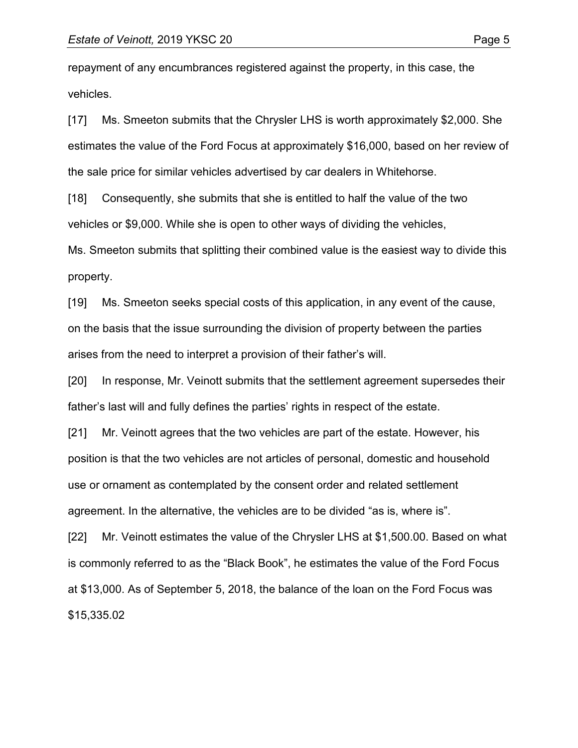repayment of any encumbrances registered against the property, in this case, the vehicles.

[17] Ms. Smeeton submits that the Chrysler LHS is worth approximately \$2,000. She estimates the value of the Ford Focus at approximately \$16,000, based on her review of the sale price for similar vehicles advertised by car dealers in Whitehorse.

[18] Consequently, she submits that she is entitled to half the value of the two

vehicles or \$9,000. While she is open to other ways of dividing the vehicles,

Ms. Smeeton submits that splitting their combined value is the easiest way to divide this property.

[19] Ms. Smeeton seeks special costs of this application, in any event of the cause, on the basis that the issue surrounding the division of property between the parties arises from the need to interpret a provision of their father's will.

[20] In response, Mr. Veinott submits that the settlement agreement supersedes their father's last will and fully defines the parties' rights in respect of the estate.

[21] Mr. Veinott agrees that the two vehicles are part of the estate. However, his position is that the two vehicles are not articles of personal, domestic and household use or ornament as contemplated by the consent order and related settlement agreement. In the alternative, the vehicles are to be divided "as is, where is".

[22] Mr. Veinott estimates the value of the Chrysler LHS at \$1,500.00. Based on what is commonly referred to as the "Black Book", he estimates the value of the Ford Focus at \$13,000. As of September 5, 2018, the balance of the loan on the Ford Focus was \$15,335.02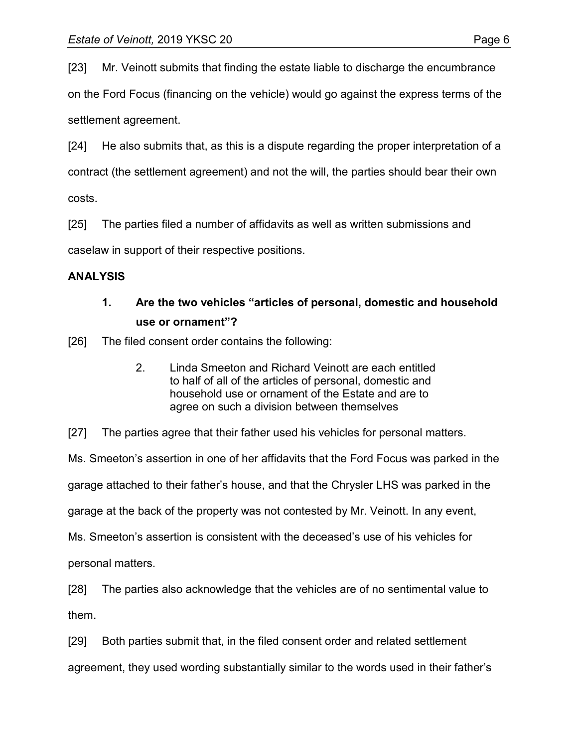[23] Mr. Veinott submits that finding the estate liable to discharge the encumbrance

on the Ford Focus (financing on the vehicle) would go against the express terms of the settlement agreement.

[24] He also submits that, as this is a dispute regarding the proper interpretation of a contract (the settlement agreement) and not the will, the parties should bear their own costs.

[25] The parties filed a number of affidavits as well as written submissions and

caselaw in support of their respective positions.

### **ANALYSIS**

## **1. Are the two vehicles "articles of personal, domestic and household use or ornament"?**

[26] The filed consent order contains the following:

2. Linda Smeeton and Richard Veinott are each entitled to half of all of the articles of personal, domestic and household use or ornament of the Estate and are to agree on such a division between themselves

[27] The parties agree that their father used his vehicles for personal matters.

Ms. Smeeton's assertion in one of her affidavits that the Ford Focus was parked in the

garage attached to their father's house, and that the Chrysler LHS was parked in the

garage at the back of the property was not contested by Mr. Veinott. In any event,

Ms. Smeeton's assertion is consistent with the deceased's use of his vehicles for

personal matters.

[28] The parties also acknowledge that the vehicles are of no sentimental value to them.

[29] Both parties submit that, in the filed consent order and related settlement agreement, they used wording substantially similar to the words used in their father's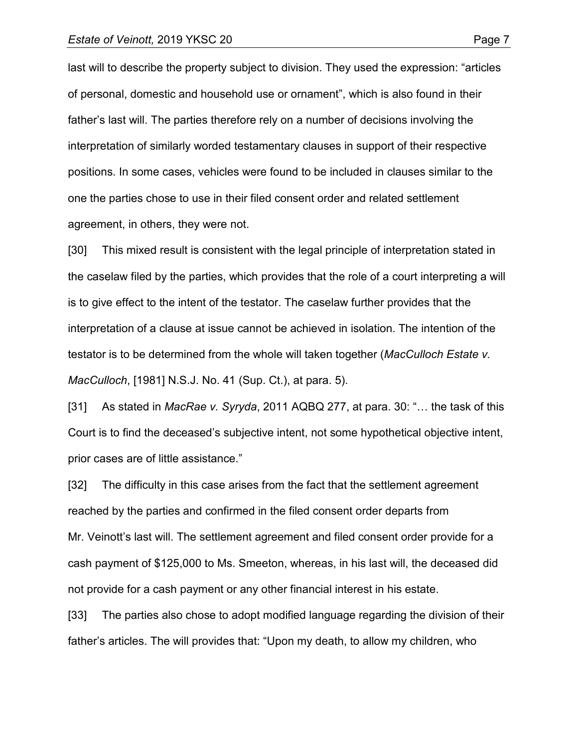last will to describe the property subject to division. They used the expression: "articles of personal, domestic and household use or ornament", which is also found in their father's last will. The parties therefore rely on a number of decisions involving the interpretation of similarly worded testamentary clauses in support of their respective positions. In some cases, vehicles were found to be included in clauses similar to the one the parties chose to use in their filed consent order and related settlement agreement, in others, they were not.

[30] This mixed result is consistent with the legal principle of interpretation stated in the caselaw filed by the parties, which provides that the role of a court interpreting a will is to give effect to the intent of the testator. The caselaw further provides that the interpretation of a clause at issue cannot be achieved in isolation. The intention of the testator is to be determined from the whole will taken together (*MacCulloch Estate v. MacCulloch*, [1981] N.S.J. No. 41 (Sup. Ct.), at para. 5).

[31] As stated in *MacRae v. Syryda*, 2011 AQBQ 277, at para. 30: "… the task of this Court is to find the deceased's subjective intent, not some hypothetical objective intent, prior cases are of little assistance."

[32] The difficulty in this case arises from the fact that the settlement agreement reached by the parties and confirmed in the filed consent order departs from Mr. Veinott's last will. The settlement agreement and filed consent order provide for a cash payment of \$125,000 to Ms. Smeeton, whereas, in his last will, the deceased did not provide for a cash payment or any other financial interest in his estate.

[33] The parties also chose to adopt modified language regarding the division of their father's articles. The will provides that: "Upon my death, to allow my children, who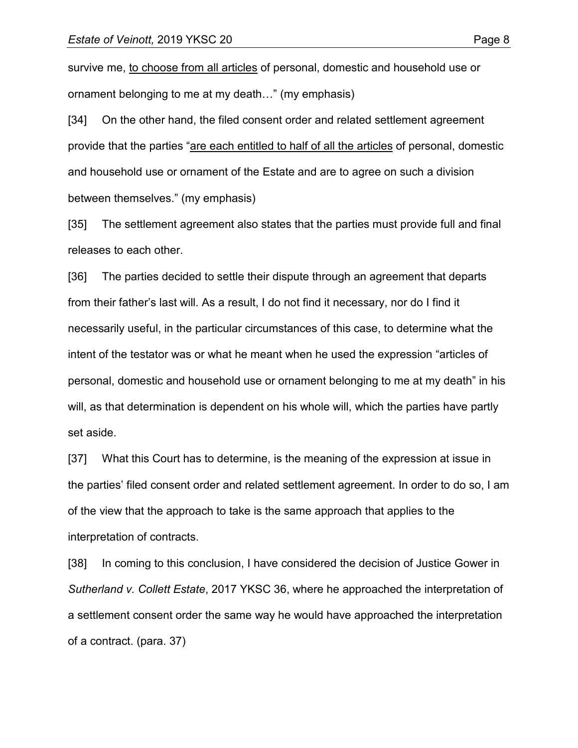survive me, to choose from all articles of personal, domestic and household use or ornament belonging to me at my death…" (my emphasis)

[34] On the other hand, the filed consent order and related settlement agreement provide that the parties "are each entitled to half of all the articles of personal, domestic and household use or ornament of the Estate and are to agree on such a division between themselves." (my emphasis)

[35] The settlement agreement also states that the parties must provide full and final releases to each other.

[36] The parties decided to settle their dispute through an agreement that departs from their father's last will. As a result, I do not find it necessary, nor do I find it necessarily useful, in the particular circumstances of this case, to determine what the intent of the testator was or what he meant when he used the expression "articles of personal, domestic and household use or ornament belonging to me at my death" in his will, as that determination is dependent on his whole will, which the parties have partly set aside.

[37] What this Court has to determine, is the meaning of the expression at issue in the parties' filed consent order and related settlement agreement. In order to do so, I am of the view that the approach to take is the same approach that applies to the interpretation of contracts.

[38] In coming to this conclusion, I have considered the decision of Justice Gower in *Sutherland v. Collett Estate*, 2017 YKSC 36, where he approached the interpretation of a settlement consent order the same way he would have approached the interpretation of a contract. (para. 37)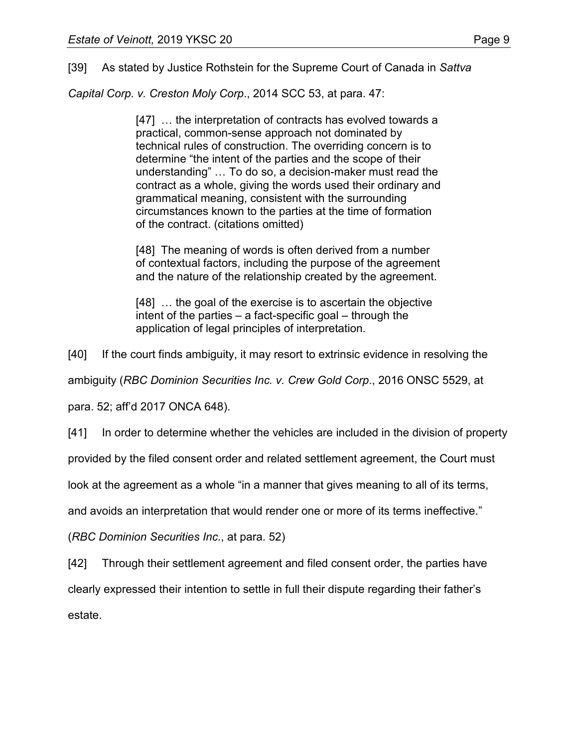[39] As stated by Justice Rothstein for the Supreme Court of Canada in *Sattva* 

*Capital Corp. v. Creston Moly Corp*., 2014 SCC 53, at para. 47:

[47] … the interpretation of contracts has evolved towards a practical, common-sense approach not dominated by technical rules of construction. The overriding concern is to determine "the intent of the parties and the scope of their understanding" … To do so, a decision-maker must read the contract as a whole, giving the words used their ordinary and grammatical meaning, consistent with the surrounding circumstances known to the parties at the time of formation of the contract. (citations omitted)

[48] The meaning of words is often derived from a number of contextual factors, including the purpose of the agreement and the nature of the relationship created by the agreement.

[48] ... the goal of the exercise is to ascertain the objective intent of the parties – a fact-specific goal – through the application of legal principles of interpretation.

[40] If the court finds ambiguity, it may resort to extrinsic evidence in resolving the

ambiguity (*RBC Dominion Securities Inc. v. Crew Gold Corp*., 2016 ONSC 5529, at

para. 52; aff'd 2017 ONCA 648).

[41] In order to determine whether the vehicles are included in the division of property

provided by the filed consent order and related settlement agreement, the Court must

look at the agreement as a whole "in a manner that gives meaning to all of its terms,

and avoids an interpretation that would render one or more of its terms ineffective."

(*RBC Dominion Securities Inc.*, at para. 52)

[42] Through their settlement agreement and filed consent order, the parties have

clearly expressed their intention to settle in full their dispute regarding their father's

estate.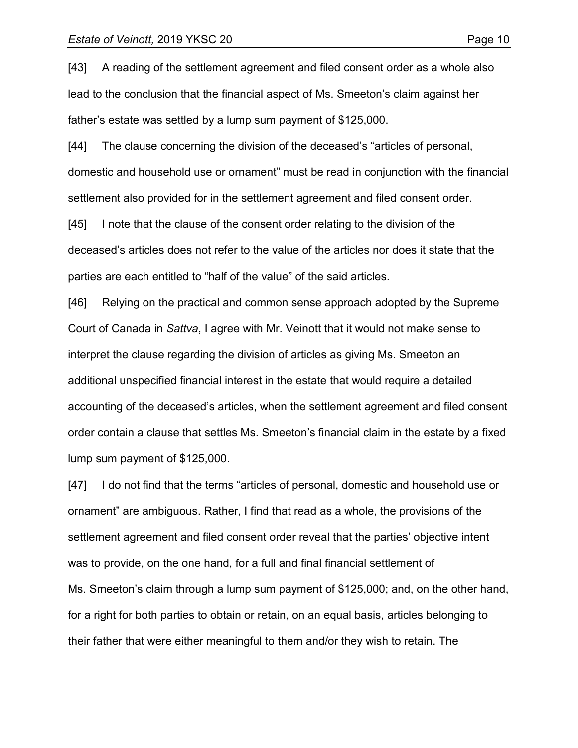[43] A reading of the settlement agreement and filed consent order as a whole also lead to the conclusion that the financial aspect of Ms. Smeeton's claim against her father's estate was settled by a lump sum payment of \$125,000.

[44] The clause concerning the division of the deceased's "articles of personal, domestic and household use or ornament" must be read in conjunction with the financial settlement also provided for in the settlement agreement and filed consent order.

[45] I note that the clause of the consent order relating to the division of the deceased's articles does not refer to the value of the articles nor does it state that the parties are each entitled to "half of the value" of the said articles.

[46] Relying on the practical and common sense approach adopted by the Supreme Court of Canada in *Sattva*, I agree with Mr. Veinott that it would not make sense to interpret the clause regarding the division of articles as giving Ms. Smeeton an additional unspecified financial interest in the estate that would require a detailed accounting of the deceased's articles, when the settlement agreement and filed consent order contain a clause that settles Ms. Smeeton's financial claim in the estate by a fixed lump sum payment of \$125,000.

[47] I do not find that the terms "articles of personal, domestic and household use or ornament" are ambiguous. Rather, I find that read as a whole, the provisions of the settlement agreement and filed consent order reveal that the parties' objective intent was to provide, on the one hand, for a full and final financial settlement of Ms. Smeeton's claim through a lump sum payment of \$125,000; and, on the other hand, for a right for both parties to obtain or retain, on an equal basis, articles belonging to their father that were either meaningful to them and/or they wish to retain. The